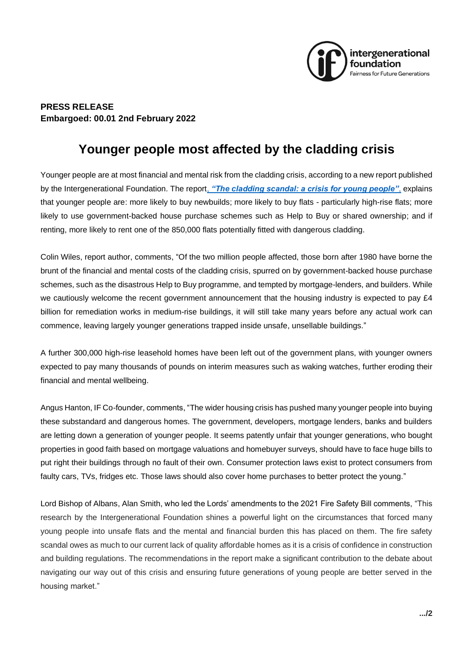

## **PRESS RELEASE Embargoed: 00.01 2nd February 2022**

## **Younger people most affected by the cladding crisis**

Younger people are at most financial and mental risk from the cladding crisis, according to a new report published by the Intergenerational Foundation. The report, *"The c[ladding scandal: a crisis for young people"](https://www.if.org.uk/research-posts/the-cladding-scandal-a-crisis-for-younger-people/)*, explains that younger people are: more likely to buy newbuilds; more likely to buy flats - particularly high-rise flats; more likely to use government-backed house purchase schemes such as Help to Buy or shared ownership; and if renting, more likely to rent one of the 850,000 flats potentially fitted with dangerous cladding.

Colin Wiles, report author, comments, "Of the two million people affected, those born after 1980 have borne the brunt of the financial and mental costs of the cladding crisis, spurred on by government-backed house purchase schemes, such as the disastrous Help to Buy programme, and tempted by mortgage-lenders, and builders. While we cautiously welcome the recent government announcement that the housing industry is expected to pay £4 billion for remediation works in medium-rise buildings, it will still take many years before any actual work can commence, leaving largely younger generations trapped inside unsafe, unsellable buildings."

A further 300,000 high-rise leasehold homes have been left out of the government plans, with younger owners expected to pay many thousands of pounds on interim measures such as waking watches, further eroding their financial and mental wellbeing.

Angus Hanton, IF Co-founder, comments, "The wider housing crisis has pushed many younger people into buying these substandard and dangerous homes. The government, developers, mortgage lenders, banks and builders are letting down a generation of younger people. It seems patently unfair that younger generations, who bought properties in good faith based on mortgage valuations and homebuyer surveys, should have to face huge bills to put right their buildings through no fault of their own. Consumer protection laws exist to protect consumers from faulty cars, TVs, fridges etc. Those laws should also cover home purchases to better protect the young."

Lord Bishop of Albans, Alan Smith, who led the Lords' amendments to the 2021 Fire Safety Bill comments, "This research by the Intergenerational Foundation shines a powerful light on the circumstances that forced many young people into unsafe flats and the mental and financial burden this has placed on them. The fire safety scandal owes as much to our current lack of quality affordable homes as it is a crisis of confidence in construction and building regulations. The recommendations in the report make a significant contribution to the debate about navigating our way out of this crisis and ensuring future generations of young people are better served in the housing market."